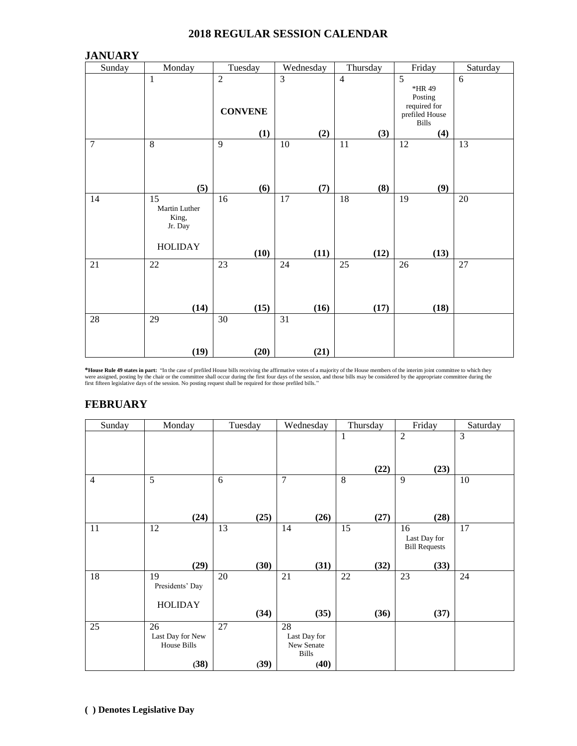#### **2018 REGULAR SESSION CALENDAR**

| <b>JANUARY</b> |                                                                        |                                  |                         |                |                                                                                       |                |
|----------------|------------------------------------------------------------------------|----------------------------------|-------------------------|----------------|---------------------------------------------------------------------------------------|----------------|
| Sunday         | Monday<br>Tuesday                                                      |                                  | Wednesday               | Thursday       | Friday                                                                                | Saturday       |
|                | $\mathbf{1}$                                                           | $\overline{2}$<br><b>CONVENE</b> | $\overline{3}$          | $\overline{4}$ | $\overline{5}$<br>*HR 49<br>Posting<br>required for<br>prefiled House<br><b>Bills</b> | $\overline{6}$ |
|                |                                                                        | (1)                              | (2)                     | (3)            | (4)                                                                                   |                |
| $\overline{7}$ | 8<br>(5)                                                               | 9<br>(6)                         | 10<br>(7)               | 11<br>(8)      | 12<br>(9)                                                                             | 13             |
| 14             | $\overline{15}$<br>Martin Luther<br>King,<br>Jr. Day<br><b>HOLIDAY</b> | 16<br>(10)                       | 17<br>(11)              | 18<br>(12)     | 19<br>(13)                                                                            | 20             |
| $21\,$         | $22\,$<br>(14)                                                         | 23<br>(15)                       | 24<br>(16)              | 25<br>(17)     | 26<br>(18)                                                                            | 27             |
| $28\,$         | 29<br>(19)                                                             | 30<br>(20)                       | $\overline{31}$<br>(21) |                |                                                                                       |                |

**\*House Rule 49 states in part:** "In the case of prefiled House bills receiving the affirmative votes of a majority of the House members of the interim joint committee to which they were assigned, posting the interim space

# **FEBRUARY**

| Sunday         | Monday           | Tuesday | Wednesday      | Thursday | Friday               | Saturday       |
|----------------|------------------|---------|----------------|----------|----------------------|----------------|
|                |                  |         |                | 1        | $\overline{2}$       | $\overline{3}$ |
|                |                  |         |                |          |                      |                |
|                |                  |         |                |          |                      |                |
|                |                  |         |                | (22)     | (23)                 |                |
| $\overline{4}$ | 5                | 6       | $\overline{7}$ | 8        | 9                    | 10             |
|                |                  |         |                |          |                      |                |
|                |                  |         |                |          |                      |                |
|                | (24)             | (25)    | (26)           | (27)     | (28)                 |                |
| 11             | 12               | 13      | 14             | 15       | 16                   | 17             |
|                |                  |         |                |          | Last Day for         |                |
|                |                  |         |                |          | <b>Bill Requests</b> |                |
|                | (29)             | (30)    | (31)           | (32)     | (33)                 |                |
| 18             | 19               | 20      | 21             | 22       | 23                   | 24             |
|                | Presidents' Day  |         |                |          |                      |                |
|                | <b>HOLIDAY</b>   |         |                |          |                      |                |
|                |                  | (34)    | (35)           | (36)     | (37)                 |                |
| 25             | 26               | 27      | 28             |          |                      |                |
|                | Last Day for New |         | Last Day for   |          |                      |                |
|                | House Bills      |         | New Senate     |          |                      |                |
|                |                  |         | <b>Bills</b>   |          |                      |                |
|                | (38)             | (39)    | (40)           |          |                      |                |